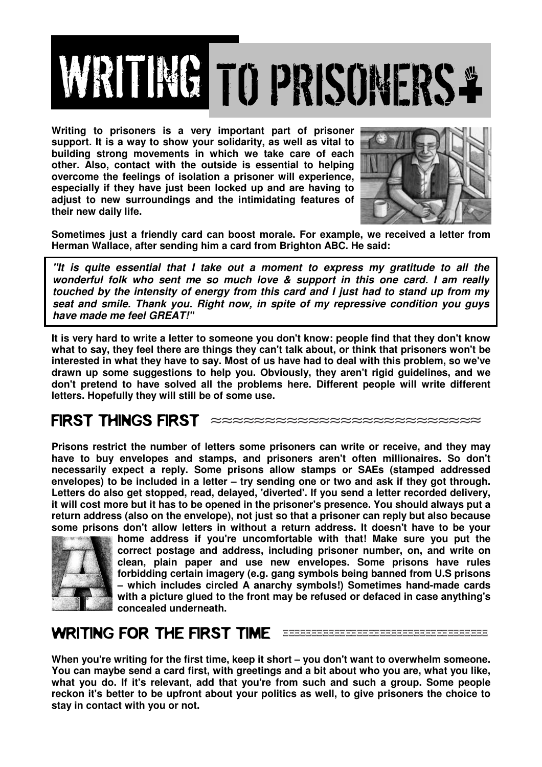

**Writing to prisoners is a very important part of prisoner support. It is a way to show your solidarity, as well as vital to building strong movements in which we take care of each other. Also, contact with the outside is essential to helping overcome the feelings of isolation a prisoner will experience, especially if they have just been locked up and are having to adjust to new surroundings and the intimidating features of their new daily life.** 



**Sometimes just a friendly card can boost morale. For example, we received a letter from Herman Wallace, after sending him a card from Brighton ABC. He said:** 

**"It is quite essential that I take out a moment to express my gratitude to all the wonderful folk who sent me so much love & support in this one card. I am really touched by the intensity of energy from this card and I just had to stand up from my seat and smile. Thank you. Right now, in spite of my repressive condition you guys have made me feel GREAT!"**

**It is very hard to write a letter to someone you don't know: people find that they don't know what to say, they feel there are things they can't talk about, or think that prisoners won't be interested in what they have to say. Most of us have had to deal with this problem, so we've drawn up some suggestions to help you. Obviously, they aren't rigid guidelines, and we don't pretend to have solved all the problems here. Different people will write different letters. Hopefully they will still be of some use.** 

FIRST THINGS FIRST

**Prisons restrict the number of letters some prisoners can write or receive, and they may have to buy envelopes and stamps, and prisoners aren't often millionaires. So don't necessarily expect a reply. Some prisons allow stamps or SAEs (stamped addressed envelopes) to be included in a letter – try sending one or two and ask if they got through. Letters do also get stopped, read, delayed, 'diverted'. If you send a letter recorded delivery, it will cost more but it has to be opened in the prisoner's presence. You should always put a return address (also on the envelope), not just so that a prisoner can reply but also because some prisons don't allow letters in without a return address. It doesn't have to be your** 



**home address if you're uncomfortable with that! Make sure you put the correct postage and address, including prisoner number, on, and write on clean, plain paper and use new envelopes. Some prisons have rules forbidding certain imagery (e.g. gang symbols being banned from U.S prisons – which includes circled A anarchy symbols!) Sometimes hand-made cards with a picture glued to the front may be refused or defaced in case anything's concealed underneath.** 

## WRITING FOR THE FIRST TIME EEEEEEEEEEEEEEEEEEEEEEEEEEEEE

**When you're writing for the first time, keep it short – you don't want to overwhelm someone. You can maybe send a card first, with greetings and a bit about who you are, what you like, what you do. If it's relevant, add that you're from such and such a group. Some people reckon it's better to be upfront about your politics as well, to give prisoners the choice to stay in contact with you or not.**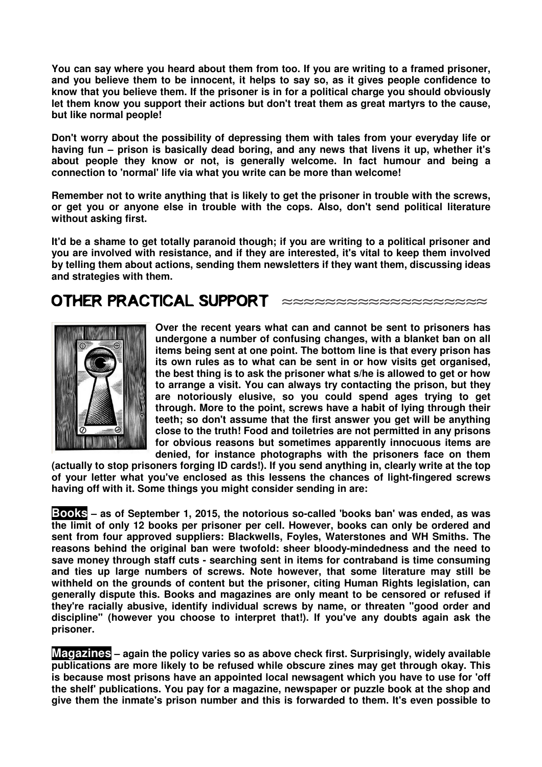**You can say where you heard about them from too. If you are writing to a framed prisoner, and you believe them to be innocent, it helps to say so, as it gives people confidence to know that you believe them. If the prisoner is in for a political charge you should obviously let them know you support their actions but don't treat them as great martyrs to the cause, but like normal people!** 

**Don't worry about the possibility of depressing them with tales from your everyday life or having fun – prison is basically dead boring, and any news that livens it up, whether it's about people they know or not, is generally welcome. In fact humour and being a connection to 'normal' life via what you write can be more than welcome!** 

**Remember not to write anything that is likely to get the prisoner in trouble with the screws, or get you or anyone else in trouble with the cops. Also, don't send political literature without asking first.** 

**It'd be a shame to get totally paranoid though; if you are writing to a political prisoner and you are involved with resistance, and if they are interested, it's vital to keep them involved by telling them about actions, sending them newsletters if they want them, discussing ideas and strategies with them.** 

## OTHER PRACTICAL SUPPORT  $\approx\approx\approx\approx\approx\approx\approx\approx\approx\approx\approx\approx\approx\approx\approx\approx\approx$



**Over the recent years what can and cannot be sent to prisoners has undergone a number of confusing changes, with a blanket ban on all items being sent at one point. The bottom line is that every prison has its own rules as to what can be sent in or how visits get organised, the best thing is to ask the prisoner what s/he is allowed to get or how to arrange a visit. You can always try contacting the prison, but they are notoriously elusive, so you could spend ages trying to get through. More to the point, screws have a habit of lying through their teeth; so don't assume that the first answer you get will be anything close to the truth! Food and toiletries are not permitted in any prisons for obvious reasons but sometimes apparently innocuous items are denied, for instance photographs with the prisoners face on them** 

**(actually to stop prisoners forging ID cards!). If you send anything in, clearly write at the top of your letter what you've enclosed as this lessens the chances of light-fingered screws having off with it. Some things you might consider sending in are:** 

**Books – as of September 1, 2015, the notorious so-called 'books ban' was ended, as was the limit of only 12 books per prisoner per cell. However, books can only be ordered and sent from four approved suppliers: Blackwells, Foyles, Waterstones and WH Smiths. The reasons behind the original ban were twofold: sheer bloody-mindedness and the need to save money through staff cuts - searching sent in items for contraband is time consuming and ties up large numbers of screws. Note however, that some literature may still be withheld on the grounds of content but the prisoner, citing Human Rights legislation, can generally dispute this. Books and magazines are only meant to be censored or refused if they're racially abusive, identify individual screws by name, or threaten "good order and discipline" (however you choose to interpret that!). If you've any doubts again ask the prisoner.** 

**Magazines – again the policy varies so as above check first. Surprisingly, widely available publications are more likely to be refused while obscure zines may get through okay. This is because most prisons have an appointed local newsagent which you have to use for 'off the shelf' publications. You pay for a magazine, newspaper or puzzle book at the shop and give them the inmate's prison number and this is forwarded to them. It's even possible to**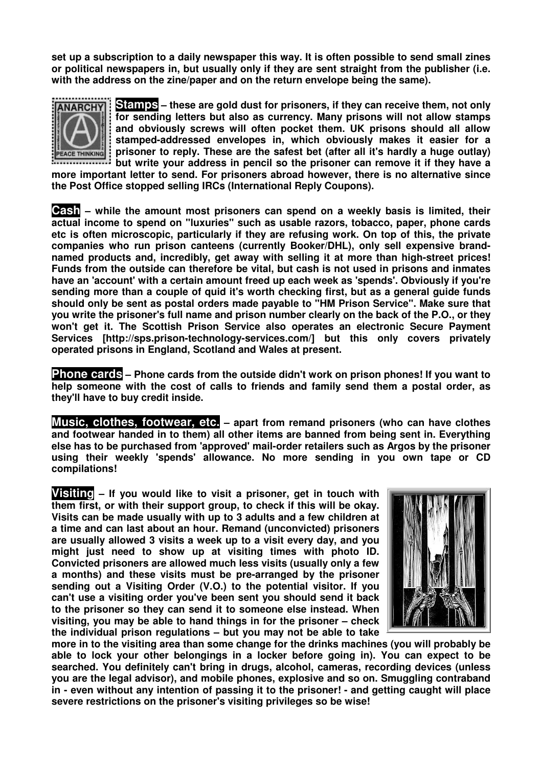**set up a subscription to a daily newspaper this way. It is often possible to send small zines or political newspapers in, but usually only if they are sent straight from the publisher (i.e. with the address on the zine/paper and on the return envelope being the same).** 



**Stamps – these are gold dust for prisoners, if they can receive them, not only for sending letters but also as currency. Many prisons will not allow stamps and obviously screws will often pocket them. UK prisons should all allow stamped-addressed envelopes in, which obviously makes it easier for a prisoner to reply. These are the safest bet (after all it's hardly a huge outlay) but write your address in pencil so the prisoner can remove it if they have a** 

**more important letter to send. For prisoners abroad however, there is no alternative since the Post Office stopped selling IRCs (International Reply Coupons).** 

**Cash – while the amount most prisoners can spend on a weekly basis is limited, their actual income to spend on "luxuries" such as usable razors, tobacco, paper, phone cards etc is often microscopic, particularly if they are refusing work. On top of this, the private companies who run prison canteens (currently Booker/DHL), only sell expensive brandnamed products and, incredibly, get away with selling it at more than high-street prices! Funds from the outside can therefore be vital, but cash is not used in prisons and inmates have an 'account' with a certain amount freed up each week as 'spends'. Obviously if you're sending more than a couple of quid it's worth checking first, but as a general guide funds should only be sent as postal orders made payable to "HM Prison Service". Make sure that you write the prisoner's full name and prison number clearly on the back of the P.O., or they won't get it. The Scottish Prison Service also operates an electronic Secure Payment Services [http://sps.prison-technology-services.com/] but this only covers privately operated prisons in England, Scotland and Wales at present.** 

**Phone cards – Phone cards from the outside didn't work on prison phones! If you want to help someone with the cost of calls to friends and family send them a postal order, as they'll have to buy credit inside.** 

**Music, clothes, footwear, etc. – apart from remand prisoners (who can have clothes and footwear handed in to them) all other items are banned from being sent in. Everything else has to be purchased from 'approved' mail-order retailers such as Argos by the prisoner using their weekly 'spends' allowance. No more sending in you own tape or CD compilations!** 

**Visiting – If you would like to visit a prisoner, get in touch with them first, or with their support group, to check if this will be okay. Visits can be made usually with up to 3 adults and a few children at a time and can last about an hour. Remand (unconvicted) prisoners are usually allowed 3 visits a week up to a visit every day, and you might just need to show up at visiting times with photo ID. Convicted prisoners are allowed much less visits (usually only a few a months) and these visits must be pre-arranged by the prisoner sending out a Visiting Order (V.O.) to the potential visitor. If you can't use a visiting order you've been sent you should send it back to the prisoner so they can send it to someone else instead. When visiting, you may be able to hand things in for the prisoner – check the individual prison regulations – but you may not be able to take** 



**more in to the visiting area than some change for the drinks machines (you will probably be able to lock your other belongings in a locker before going in). You can expect to be searched. You definitely can't bring in drugs, alcohol, cameras, recording devices (unless you are the legal advisor), and mobile phones, explosive and so on. Smuggling contraband in - even without any intention of passing it to the prisoner! - and getting caught will place severe restrictions on the prisoner's visiting privileges so be wise!**